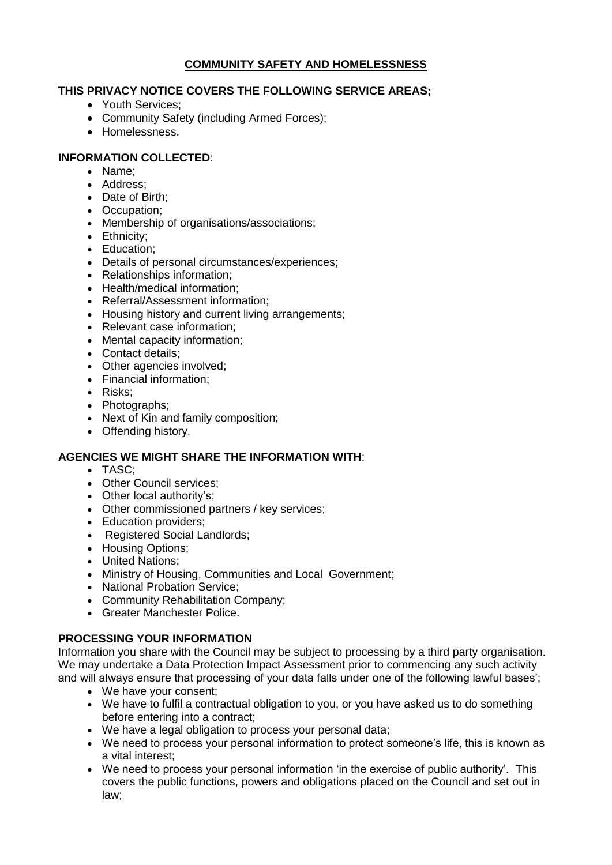# **COMMUNITY SAFETY AND HOMELESSNESS**

### **THIS PRIVACY NOTICE COVERS THE FOLLOWING SERVICE AREAS;**

- Youth Services:
- Community Safety (including Armed Forces);
- Homelessness.

## **INFORMATION COLLECTED**:

- Name;
- Address;
- Date of Birth;
- Occupation:
- Membership of organisations/associations;
- Ethnicity;
- Education:
- Details of personal circumstances/experiences;
- Relationships information;
- Health/medical information:
- Referral/Assessment information;
- Housing history and current living arrangements;
- Relevant case information;
- Mental capacity information:
- Contact details:
- Other agencies involved;
- Financial information:
- Risks:
- Photographs;
- Next of Kin and family composition;
- Offending history.

# **AGENCIES WE MIGHT SHARE THE INFORMATION WITH**:

- TASC<sup>:</sup>
- Other Council services:
- Other local authority's:
- Other commissioned partners / key services;
- Education providers;
- Registered Social Landlords:
- Housing Options;
- United Nations;
- Ministry of Housing, Communities and Local Government;
- National Probation Service;
- Community Rehabilitation Company;
- Greater Manchester Police.

# **PROCESSING YOUR INFORMATION**

Information you share with the Council may be subject to processing by a third party organisation. We may undertake a Data Protection Impact Assessment prior to commencing any such activity and will always ensure that processing of your data falls under one of the following lawful bases';

- We have your consent;
- We have to fulfil a contractual obligation to you, or you have asked us to do something before entering into a contract;
- We have a legal obligation to process your personal data;
- We need to process your personal information to protect someone's life, this is known as a vital interest;
- We need to process your personal information 'in the exercise of public authority'. This covers the public functions, powers and obligations placed on the Council and set out in law;